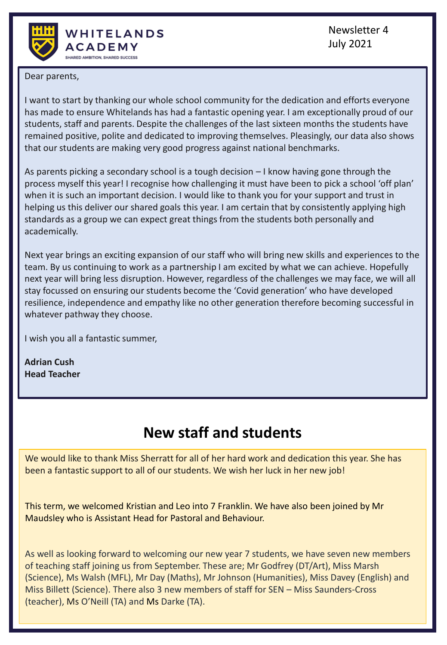

Newsletter 4 July 2021

Dear parents,

I want to start by thanking our whole school community for the dedication and efforts everyone has made to ensure Whitelands has had a fantastic opening year. I am exceptionally proud of our students, staff and parents. Despite the challenges of the last sixteen months the students have remained positive, polite and dedicated to improving themselves. Pleasingly, our data also shows that our students are making very good progress against national benchmarks.

As parents picking a secondary school is a tough decision – I know having gone through the process myself this year! I recognise how challenging it must have been to pick a school 'off plan' when it is such an important decision. I would like to thank you for your support and trust in helping us this deliver our shared goals this year. I am certain that by consistently applying high standards as a group we can expect great things from the students both personally and academically.

Next year brings an exciting expansion of our staff who will bring new skills and experiences to the team. By us continuing to work as a partnership I am excited by what we can achieve. Hopefully next year will bring less disruption. However, regardless of the challenges we may face, we will all stay focussed on ensuring our students become the 'Covid generation' who have developed resilience, independence and empathy like no other generation therefore becoming successful in whatever pathway they choose.

I wish you all a fantastic summer,

**Adrian Cush Head Teacher**

## **New staff and students**

We would like to thank Miss Sherratt for all of her hard work and dedication this year. She has been a fantastic support to all of our students. We wish her luck in her new job!

This term, we welcomed Kristian and Leo into 7 Franklin. We have also been joined by Mr Maudsley who is Assistant Head for Pastoral and Behaviour.

As well as looking forward to welcoming our new year 7 students, we have seven new members of teaching staff joining us from September. These are; Mr Godfrey (DT/Art), Miss Marsh (Science), Ms Walsh (MFL), Mr Day (Maths), Mr Johnson (Humanities), Miss Davey (English) and Miss Billett (Science). There also 3 new members of staff for SEN – Miss Saunders-Cross (teacher), Ms O'Neill (TA) and Ms Darke (TA).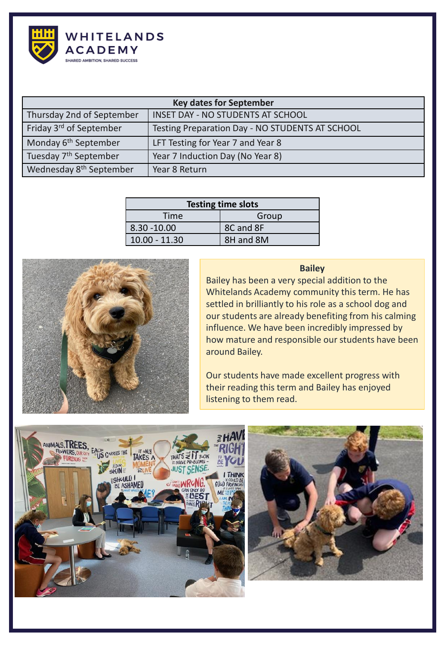

| <b>Key dates for September</b>      |                                                 |  |  |
|-------------------------------------|-------------------------------------------------|--|--|
| Thursday 2nd of September           | <b>INSET DAY - NO STUDENTS AT SCHOOL</b>        |  |  |
| Friday 3 <sup>rd</sup> of September | Testing Preparation Day - NO STUDENTS AT SCHOOL |  |  |
| Monday 6 <sup>th</sup> September    | LFT Testing for Year 7 and Year 8               |  |  |
| Tuesday 7 <sup>th</sup> September   | Year 7 Induction Day (No Year 8)                |  |  |
| Wednesday 8 <sup>th</sup> September | Year 8 Return                                   |  |  |

| <b>Testing time slots</b> |           |  |  |  |
|---------------------------|-----------|--|--|--|
| Time                      | Group     |  |  |  |
| $8.30 - 10.00$            | 8C and 8F |  |  |  |
| $10.00 - 11.30$           | 8H and 8M |  |  |  |



#### **Bailey**

Bailey has been a very special addition to the Whitelands Academy community this term. He has settled in brilliantly to his role as a school dog and our students are already benefiting from his calming influence. We have been incredibly impressed by how mature and responsible our students have been around Bailey.

Our students have made excellent progress with their reading this term and Bailey has enjoyed listening to them read.



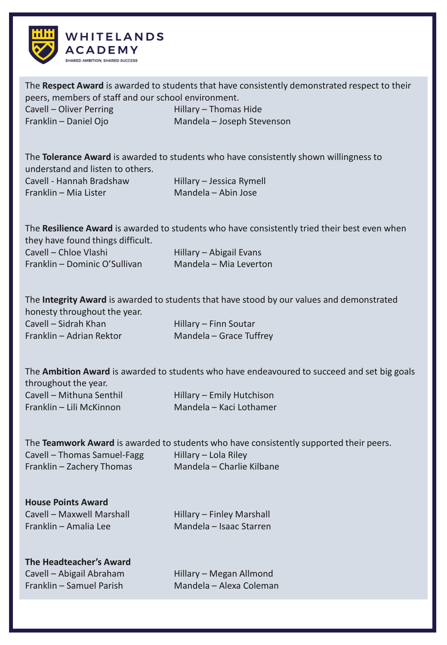

The **Respect Award** is awarded to students that have consistently demonstrated respect to their peers, members of staff and our school environment.

Cavell – Oliver Perring Hillary – Thomas Hide

Franklin – Daniel Ojo Mandela – Joseph Stevenson

The **Tolerance Award** is awarded to students who have consistently shown willingness to understand and listen to others.

| Cavell - Hannah Bradshaw | Hillary - Jessica Rymell |
|--------------------------|--------------------------|
| Franklin - Mia Lister    | Mandela – Abin Jose      |

The **Resilience Award** is awarded to students who have consistently tried their best even when they have found things difficult. Cavell – Chloe Vlashi Hillary – Abigail Evans

Franklin – Dominic O'Sullivan Mandela – Mia Leverton

The **Integrity Award** is awarded to students that have stood by our values and demonstrated honesty throughout the year. Cavell – Sidrah Khan Hillary – Finn Soutar Franklin – Adrian Rektor Mandela – Grace Tuffrey

|                          | The <b>Ambition Award</b> is awarded to students who have endeavoured to succeed and set big goals |
|--------------------------|----------------------------------------------------------------------------------------------------|
| throughout the year.     |                                                                                                    |
| Cavell - Mithuna Senthil | Hillary – Emily Hutchison                                                                          |
| Franklin – Lili McKinnon | Mandela – Kaci Lothamer                                                                            |

|                             | The Teamwork Award is awarded to students who have consistently supported their peers. |
|-----------------------------|----------------------------------------------------------------------------------------|
| Cavell – Thomas Samuel-Fagg | Hillary – Lola Riley                                                                   |
| Franklin – Zachery Thomas   | Mandela – Charlie Kilbane                                                              |

| <b>House Points Award</b> |  |  |  |  |
|---------------------------|--|--|--|--|
| Cavell - Maxwell Marshall |  |  |  |  |
| Franklin – Amalia Lee     |  |  |  |  |

Hillary – Finley Marshall Mandela – Isaac Starren

#### **The Headteacher's Award** Cavell – Abigail Abraham Hillary – Megan Allmond

Franklin – Samuel Parish Mandela – Alexa Coleman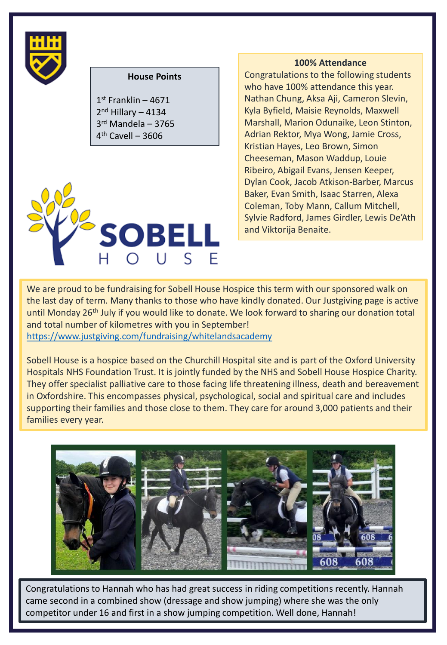

#### **House Points**

 st Franklin – 4671 2<sup>nd</sup> Hillary – 4134 rd Mandela – 3765 th Cavell – 3606



#### **100% Attendance**

Congratulations to the following students who have 100% attendance this year. Nathan Chung, Aksa Aji, Cameron Slevin, Kyla Byfield, Maisie Reynolds, Maxwell Marshall, Marion Odunaike, Leon Stinton, Adrian Rektor, Mya Wong, Jamie Cross, Kristian Hayes, Leo Brown, Simon Cheeseman, Mason Waddup, Louie Ribeiro, Abigail Evans, Jensen Keeper, Dylan Cook, Jacob Atkison-Barber, Marcus Baker, Evan Smith, Isaac Starren, Alexa Coleman, Toby Mann, Callum Mitchell, Sylvie Radford, James Girdler, Lewis De'Ath and Viktorija Benaite.

We are proud to be fundraising for Sobell House Hospice this term with our sponsored walk on the last day of term. Many thanks to those who have kindly donated. Our Justgiving page is active until Monday 26<sup>th</sup> July if you would like to donate. We look forward to sharing our donation total and total number of kilometres with you in September!

<https://www.justgiving.com/fundraising/whitelandsacademy>

Sobell House is a hospice based on the Churchill Hospital site and is part of the Oxford University Hospitals NHS Foundation Trust. It is jointly funded by the NHS and Sobell House Hospice Charity. They offer specialist palliative care to those facing life threatening illness, death and bereavement in Oxfordshire. This encompasses physical, psychological, social and spiritual care and includes supporting their families and those close to them. They care for around 3,000 patients and their families every year.



Congratulations to Hannah who has had great success in riding competitions recently. Hannah came second in a combined show (dressage and show jumping) where she was the only competitor under 16 and first in a show jumping competition. Well done, Hannah!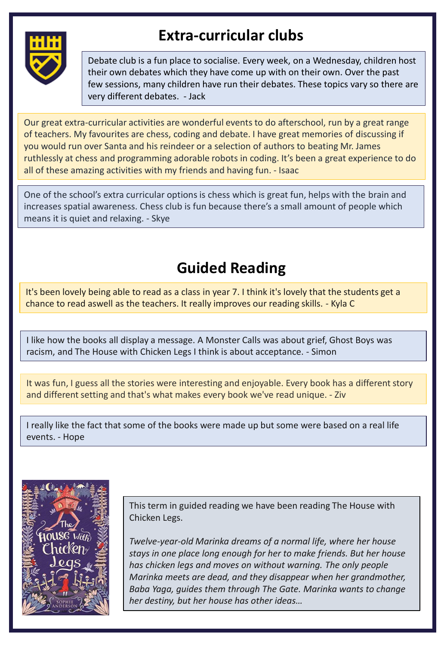

## **Extra-curricular clubs**

Debate club is a fun place to socialise. Every week, on a Wednesday, children host their own debates which they have come up with on their own. Over the past few sessions, many children have run their debates. These topics vary so there are very different debates. - Jack

Our great extra-curricular activities are wonderful events to do afterschool, run by a great range of teachers. My favourites are chess, coding and debate. I have great memories of discussing if you would run over Santa and his reindeer or a selection of authors to beating Mr. James ruthlessly at chess and programming adorable robots in coding. It's been a great experience to do all of these amazing activities with my friends and having fun. - Isaac

One of the school's extra curricular options is chess which is great fun, helps with the brain and increases spatial awareness. Chess club is fun because there's a small amount of people which means it is quiet and relaxing. - Skye

# **Guided Reading**

It's been lovely being able to read as a class in year 7. I think it's lovely that the students get a chance to read aswell as the teachers. It really improves our reading skills. - Kyla C

I like how the books all display a message. A Monster Calls was about grief, Ghost Boys was racism, and The House with Chicken Legs I think is about acceptance. - Simon

It was fun, I guess all the stories were interesting and enjoyable. Every book has a different story and different setting and that's what makes every book we've read unique. - Ziv

I really like the fact that some of the books were made up but some were based on a real life events. - Hope



This term in guided reading we have been reading The House with Chicken Legs.

*Twelve-year-old Marinka dreams of a normal life, where her house stays in one place long enough for her to make friends. But her house has chicken legs and moves on without warning. The only people Marinka meets are dead, and they disappear when her grandmother, Baba Yaga, guides them through The Gate. Marinka wants to change her destiny, but her house has other ideas…*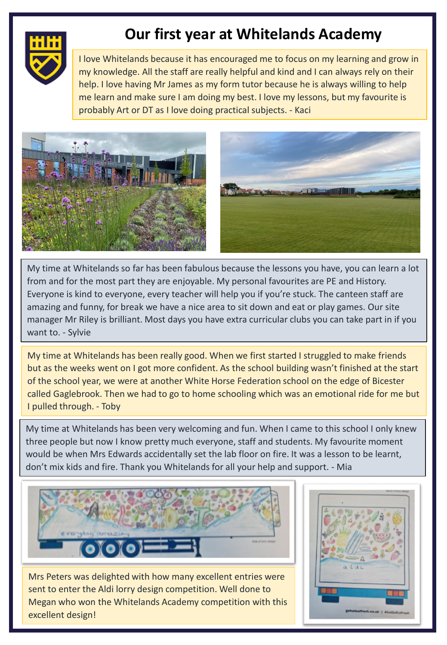

### **Our first year at Whitelands Academy**

I love Whitelands because it has encouraged me to focus on my learning and grow in my knowledge. All the staff are really helpful and kind and I can always rely on their help. I love having Mr James as my form tutor because he is always willing to help me learn and make sure I am doing my best. I love my lessons, but my favourite is probably Art or DT as I love doing practical subjects. - Kaci



My time at Whitelands so far has been fabulous because the lessons you have, you can learn a lot from and for the most part they are enjoyable. My personal favourites are PE and History. Everyone is kind to everyone, every teacher will help you if you're stuck. The canteen staff are amazing and funny, for break we have a nice area to sit down and eat or play games. Our site manager Mr Riley is brilliant. Most days you have extra curricular clubs you can take part in if you want to. - Sylvie

My time at Whitelands has been really good. When we first started I struggled to make friends but as the weeks went on I got more confident. As the school building wasn't finished at the start of the school year, we were at another White Horse Federation school on the edge of Bicester called Gaglebrook. Then we had to go to home schooling which was an emotional ride for me but I pulled through. - Toby

My time at Whitelands has been very welcoming and fun. When I came to this school I only knew three people but now I know pretty much everyone, staff and students. My favourite moment would be when Mrs Edwards accidentally set the lab floor on fire. It was a lesson to be learnt, don't mix kids and fire. Thank you Whitelands for all your help and support. - Mia



Mrs Peters was delighted with how many excellent entries were sent to enter the Aldi lorry design competition. Well done to Megan who won the Whitelands Academy competition with this excellent design!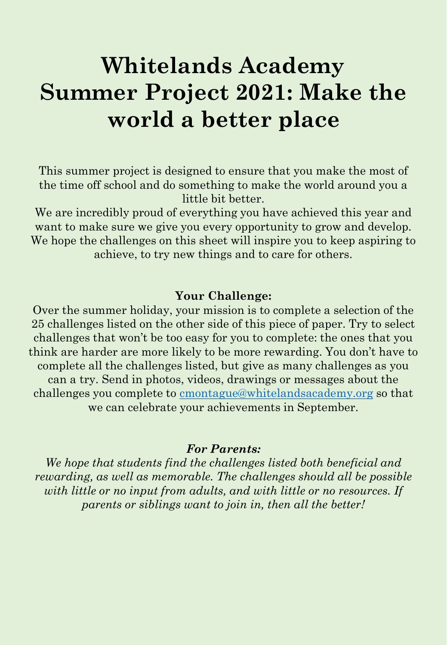# **Whitelands Academy Summer Project 2021: Make the world a better place**

This summer project is designed to ensure that you make the most of the time off school and do something to make the world around you a little bit better.

We are incredibly proud of everything you have achieved this year and want to make sure we give you every opportunity to grow and develop. We hope the challenges on this sheet will inspire you to keep aspiring to achieve, to try new things and to care for others.

### **Your Challenge:**

Over the summer holiday, your mission is to complete a selection of the 25 challenges listed on the other side of this piece of paper. Try to select challenges that won't be too easy for you to complete: the ones that you think are harder are more likely to be more rewarding. You don't have to complete all the challenges listed, but give as many challenges as you can a try. Send in photos, videos, drawings or messages about the challenges you complete to [cmontague@whitelandsacademy.org](mailto:cmontague@whitelandsacademy.org) so that we can celebrate your achievements in September.

#### *For Parents:*

*We hope that students find the challenges listed both beneficial and rewarding, as well as memorable. The challenges should all be possible with little or no input from adults, and with little or no resources. If parents or siblings want to join in, then all the better!*